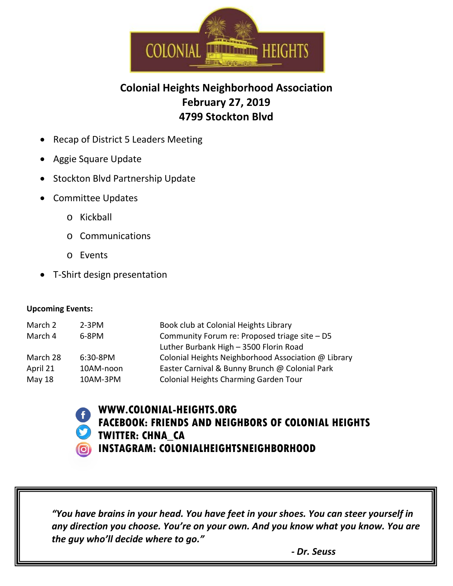

## **Colonial Heights Neighborhood Association February 27, 2019 4799 Stockton Blvd**

- Recap of District 5 Leaders Meeting
- Aggie Square Update
- Stockton Blvd Partnership Update
- Committee Updates
	- o Kickball
	- o Communications
	- o Events
- T-Shirt design presentation

## **Upcoming Events:**

| March 2  | $2-3PM$     | Book club at Colonial Heights Library               |
|----------|-------------|-----------------------------------------------------|
| March 4  | 6-8PM       | Community Forum re: Proposed triage site - D5       |
|          |             | Luther Burbank High - 3500 Florin Road              |
| March 28 | $6:30-8$ PM | Colonial Heights Neighborhood Association @ Library |
| April 21 | 10AM-noon   | Easter Carnival & Bunny Brunch @ Colonial Park      |
| May 18   | 10AM-3PM    | Colonial Heights Charming Garden Tour               |
|          |             |                                                     |



## **WWW.COLONIAL-HEIGHTS.ORG FACEBOOK: FRIENDS AND NEIGHBORS OF COLONIAL HEIGHTS TWITTER: CHNA\_CA INSTAGRAM: COLONIALHEIGHTSNEIGHBORHOOD**

*Thoughts/Inquiries/Ideas/Questions: any direction you choose. You're on your own. And you know what you know. You are "You have brains in your head. You have feet in your shoes. You can steer yourself in the guy who'll decide where to go."*